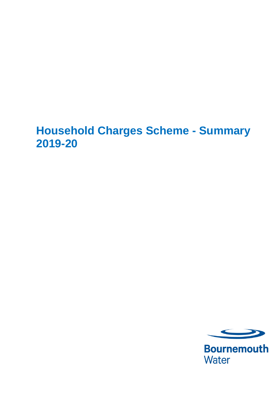# **Household Charges Scheme - Summary 2019-20**



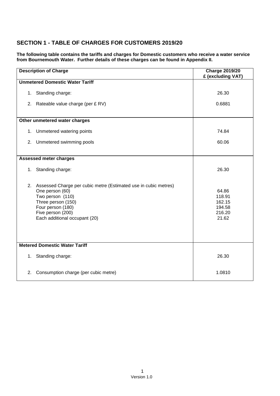## **SECTION 1 - TABLE OF CHARGES FOR CUSTOMERS 2019/20**

**The following table contains the tariffs and charges for Domestic customers who receive a water service from Bournemouth Water. Further details of these charges can be found in Appendix II.**

| <b>Description of Charge</b>         |                                                                                                                                                                                                            | <b>Charge 2019/20</b><br>£ (excluding VAT)             |  |  |  |
|--------------------------------------|------------------------------------------------------------------------------------------------------------------------------------------------------------------------------------------------------------|--------------------------------------------------------|--|--|--|
|                                      | <b>Unmetered Domestic Water Tariff</b>                                                                                                                                                                     |                                                        |  |  |  |
|                                      | 1. Standing charge:                                                                                                                                                                                        | 26.30                                                  |  |  |  |
|                                      | 2. Rateable value charge (per £ RV)                                                                                                                                                                        | 0.6881                                                 |  |  |  |
| Other unmetered water charges        |                                                                                                                                                                                                            |                                                        |  |  |  |
| 1.                                   | Unmetered watering points                                                                                                                                                                                  | 74.84                                                  |  |  |  |
| 2.                                   | Unmetered swimming pools                                                                                                                                                                                   | 60.06                                                  |  |  |  |
| <b>Assessed meter charges</b>        |                                                                                                                                                                                                            |                                                        |  |  |  |
|                                      | 1. Standing charge:                                                                                                                                                                                        | 26.30                                                  |  |  |  |
|                                      | 2. Assessed Charge per cubic metre (Estimated use in cubic metres)<br>One person (60)<br>Two person (110)<br>Three person (150)<br>Four person (180)<br>Five person (200)<br>Each additional occupant (20) | 64.86<br>118.91<br>162.15<br>194.58<br>216.20<br>21.62 |  |  |  |
| <b>Metered Domestic Water Tariff</b> |                                                                                                                                                                                                            |                                                        |  |  |  |
|                                      | 1. Standing charge:                                                                                                                                                                                        | 26.30                                                  |  |  |  |
| 2.                                   | Consumption charge (per cubic metre)                                                                                                                                                                       | 1.0810                                                 |  |  |  |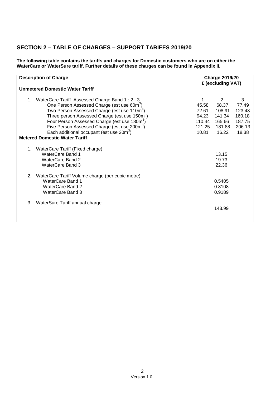## **SECTION 2 – TABLE OF CHARGES – SUPPORT TARIFFS 2019/20**

**The following table contains the tariffs and charges for Domestic customers who are on either the WaterCare or WaterSure tariff. Further details of these charges can be found in Appendix II.**

| <b>Description of Charge</b>                                                                                                                                                                                                                                                                   |                                   | <b>Charge 2019/20</b><br>£ (excluding VAT)            |                                                       |
|------------------------------------------------------------------------------------------------------------------------------------------------------------------------------------------------------------------------------------------------------------------------------------------------|-----------------------------------|-------------------------------------------------------|-------------------------------------------------------|
| <b>Unmetered Domestic Water Tariff</b>                                                                                                                                                                                                                                                         |                                   |                                                       |                                                       |
| 1. WaterCare Tariff Assessed Charge Band 1: 2: 3<br>One Person Assessed Charge (est use 60m <sup>3</sup> )<br>Two Person Assessed Charge (est use 110m <sup>3</sup> )<br>Three person Assessed Charge (est use 150m <sup>3</sup> )<br>Four Person Assessed Charge (est use 180m <sup>3</sup> ) | 45.58<br>72.61<br>94.23<br>110.44 | $\overline{2}$<br>68.37<br>108.91<br>141.34<br>165.66 | $\overline{3}$<br>77.49<br>123.43<br>160.18<br>187.75 |
| Five Person Assessed Charge (est use 200m <sup>3</sup> )                                                                                                                                                                                                                                       | 121.25                            | 181.88                                                | 206.13                                                |
| Each additional occupant (est use $20m^3$ )                                                                                                                                                                                                                                                    | 10.81                             | 16.22                                                 | 18.38                                                 |
| <b>Metered Domestic Water Tariff</b>                                                                                                                                                                                                                                                           |                                   |                                                       |                                                       |
| WaterCare Tariff (Fixed charge)<br>1.<br>WaterCare Band 1<br>WaterCare Band 2<br>WaterCare Band 3                                                                                                                                                                                              |                                   | 13.15<br>19.73<br>22.36                               |                                                       |
| WaterCare Tariff Volume charge (per cubic metre)<br>2.<br>WaterCare Band 1<br>WaterCare Band 2<br>WaterCare Band 3                                                                                                                                                                             |                                   | 0.5405<br>0.8108<br>0.9189                            |                                                       |
| 3.<br>WaterSure Tariff annual charge                                                                                                                                                                                                                                                           |                                   | 143.99                                                |                                                       |